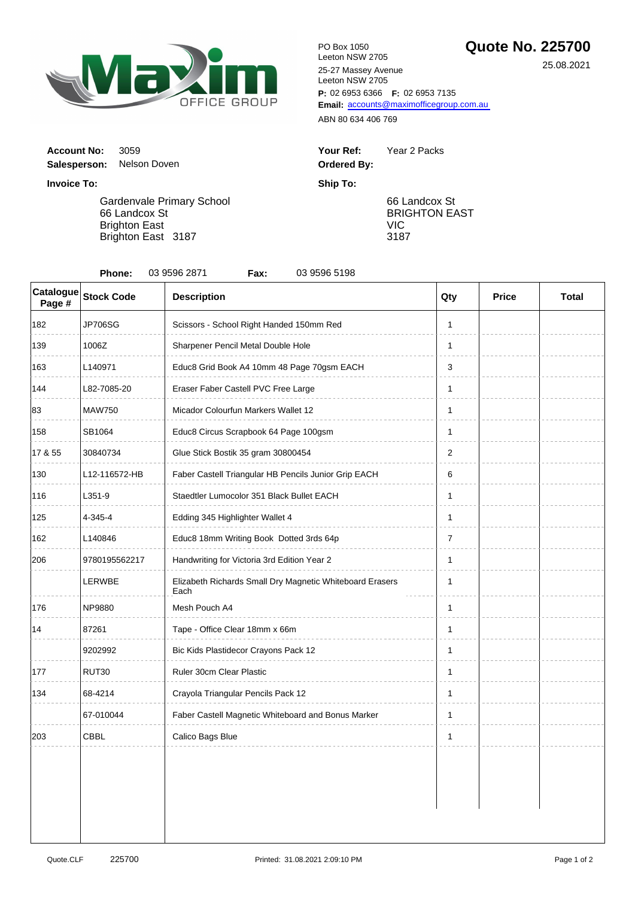

**P:** 02 6953 6366 **F:** 02 6953 7135 Email: [accounts@maximofficegroup.com.au](mailto:accounts@maximofficegroup.com.au) PO Box 1050 Leeton NSW 2705 25-27 Massey Avenue Leeton NSW 2705

ABN 80 634 406 769

| Your Ref:   | Year 2 Packs |
|-------------|--------------|
| Ordered By: |              |

66 Landcox St BRIGHTON EAST VIC 3187

**Invoice To: Ship To:** Gardenvale Primary School 66 Landcox St

**Account No: 3059** 

**Salesperson:** Nelson Doven

Brighton East Brighton East 3187

| Catalogue<br>Page #         | <b>Stock Code</b> | <b>Description</b>                                               | Qty            | <b>Price</b> | Total |
|-----------------------------|-------------------|------------------------------------------------------------------|----------------|--------------|-------|
| 182                         | <b>JP706SG</b>    | Scissors - School Right Handed 150mm Red                         | $\mathbf{1}$   |              |       |
| 139                         | 1006Z             | Sharpener Pencil Metal Double Hole                               | 1              |              |       |
| 163                         | L140971           | Educ8 Grid Book A4 10mm 48 Page 70gsm EACH                       | 3              |              |       |
| 144                         | L82-7085-20       | Eraser Faber Castell PVC Free Large                              | 1              |              |       |
| 83                          | <b>MAW750</b>     | Micador Colourfun Markers Wallet 12                              | 1              |              |       |
| 158                         | SB1064            | Educ8 Circus Scrapbook 64 Page 100gsm                            | $\mathbf{1}$   |              |       |
| 17 & 55                     | 30840734          | Glue Stick Bostik 35 gram 30800454                               | $\overline{2}$ |              |       |
| 130                         | L12-116572-HB     | Faber Castell Triangular HB Pencils Junior Grip EACH             | 6              |              |       |
| 116                         | L351-9            | Staedtler Lumocolor 351 Black Bullet EACH                        | 1              |              |       |
| 125                         | 4-345-4           | Edding 345 Highlighter Wallet 4                                  | 1              |              |       |
| 162                         | L140846           | Educ8 18mm Writing Book Dotted 3rds 64p                          | $\overline{7}$ |              |       |
| 206                         | 9780195562217     | Handwriting for Victoria 3rd Edition Year 2                      | $\mathbf{1}$   |              |       |
|                             | LERWBE            | Elizabeth Richards Small Dry Magnetic Whiteboard Erasers<br>Each | 1              |              |       |
| 176                         | NP9880            | Mesh Pouch A4                                                    | 1              |              |       |
| 87261<br>14<br>9202992      |                   | Tape - Office Clear 18mm x 66m                                   | $\mathbf{1}$   |              |       |
|                             |                   | Bic Kids Plastidecor Crayons Pack 12                             | $\mathbf{1}$   |              |       |
| 177                         | RUT30             | Ruler 30cm Clear Plastic                                         | 1              |              |       |
| 68-4214<br>134<br>67-010044 |                   | Crayola Triangular Pencils Pack 12                               | $\mathbf{1}$   |              |       |
|                             |                   | Faber Castell Magnetic Whiteboard and Bonus Marker               | 1              |              |       |
| 203                         | CBBL              | Calico Bags Blue                                                 | 1              |              |       |
|                             |                   |                                                                  |                |              |       |

25.08.2021